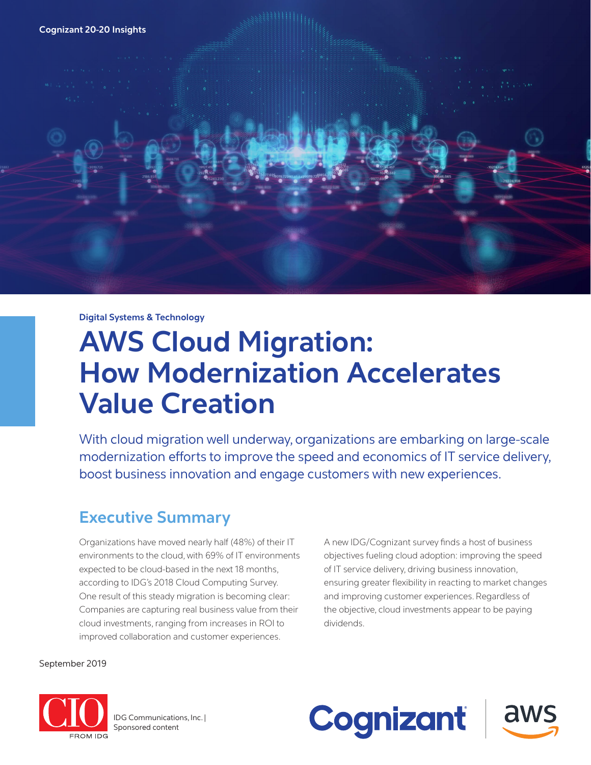## **Cognizant 20-20 Insights**

**Digital Systems & Technology**

# **AWS Cloud Migration: How Modernization Accelerates Value Creation**

With cloud migration well underway, organizations are embarking on large-scale modernization efforts to improve the speed and economics of IT service delivery, boost business innovation and engage customers with new experiences.

# **Executive Summary**

Organizations have moved nearly half (48%) of their IT environments to the cloud, with 69% of IT environments expected to be cloud-based in the next 18 months, according to IDG's 2018 Cloud Computing Survey. One result of this steady migration is becoming clear: Companies are capturing real business value from their cloud investments, ranging from increases in ROI to improved collaboration and customer experiences.

A new IDG/Cognizant survey finds a host of business objectives fueling cloud adoption: improving the speed of IT service delivery, driving business innovation, ensuring greater flexibility in reacting to market changes and improving customer experiences. Regardless of the objective, cloud investments appear to be paying dividends.

September 2019



IDG Communications, Inc. | Sponsored content

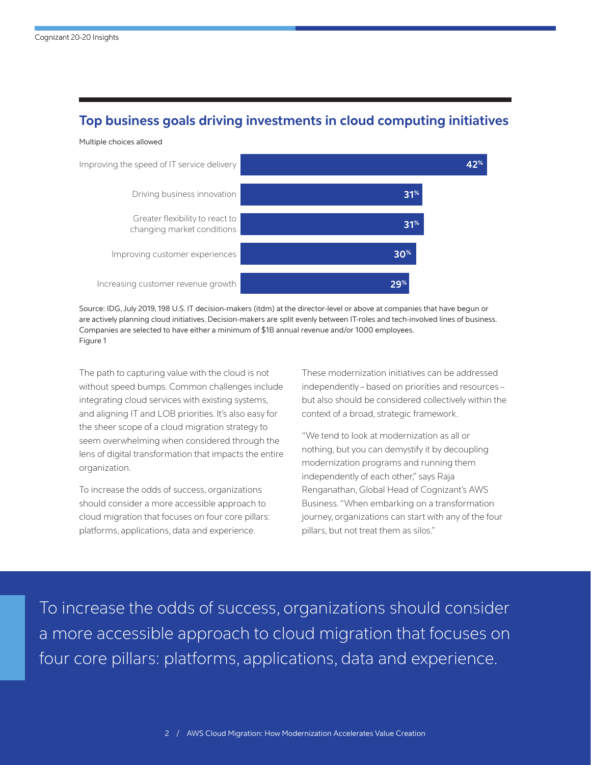# **Top business goals driving investments in cloud computing initiatives**



Source: IDG, July 2019, 198 U.S. IT decision-makers (itdm) at the director-level or above at companies that have begun or are actively planning cloud initiatives. Decision-makers are split evenly between IT-roles and tech-involved lines of business. Companies are selected to have either a minimum of \$1B annual revenue and/or 1000 employees. Figure 1

The path to capturing value with the cloud is not without speed bumps. Common challenges include integrating cloud services with existing systems, and aligning IT and LOB priorities. It's also easy for the sheer scope of a cloud migration strategy to seem overwhelming when considered through the lens of digital transformation that impacts the entire organization.

To increase the odds of success, organizations should consider a more accessible approach to cloud migration that focuses on four core pillars: platforms, applications, data and experience.

These modernization initiatives can be addressed independently – based on priorities and resources – but also should be considered collectively within the context of a broad, strategic framework.

"We tend to look at modernization as all or nothing, but you can demystify it by decoupling modernization programs and running them independently of each other," says Raja Renganathan, Global Head of Cognizant's AWS Business. "When embarking on a transformation journey, organizations can start with any of the four pillars, but not treat them as silos."

To increase the odds of success, organizations should consider a more accessible approach to cloud migration that focuses on four core pillars: platforms, applications, data and experience.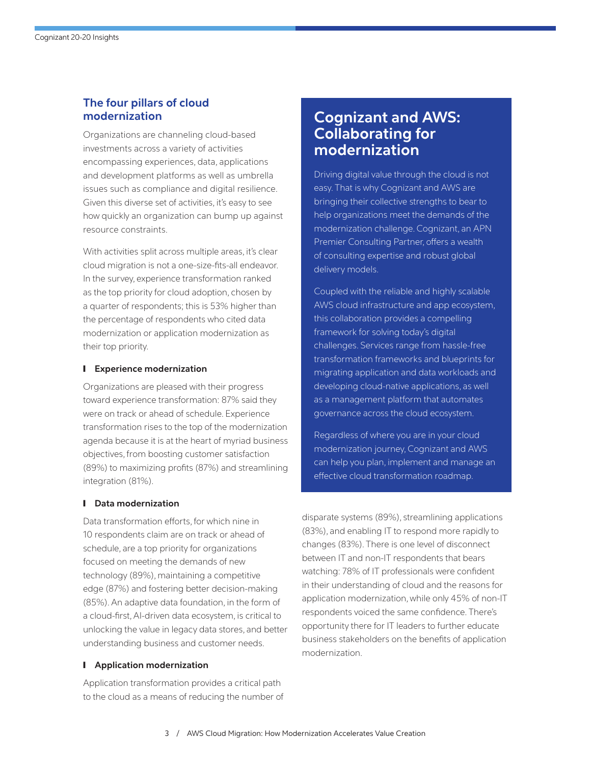# **The four pillars of cloud modernization**

Organizations are channeling cloud-based investments across a variety of activities encompassing experiences, data, applications and development platforms as well as umbrella issues such as compliance and digital resilience. Given this diverse set of activities, it's easy to see how quickly an organization can bump up against resource constraints.

With activities split across multiple areas, it's clear cloud migration is not a one-size-fits-all endeavor. In the survey, experience transformation ranked as the top priority for cloud adoption, chosen by a quarter of respondents; this is 53% higher than the percentage of respondents who cited data modernization or application modernization as their top priority.

## ❙ **Experience modernization**

Organizations are pleased with their progress toward experience transformation: 87% said they were on track or ahead of schedule. Experience transformation rises to the top of the modernization agenda because it is at the heart of myriad business objectives, from boosting customer satisfaction (89%) to maximizing profits (87%) and streamlining integration (81%).

## ❙ **Data modernization**

Data transformation efforts, for which nine in 10 respondents claim are on track or ahead of schedule, are a top priority for organizations focused on meeting the demands of new technology (89%), maintaining a competitive edge (87%) and fostering better decision-making (85%). An adaptive data foundation, in the form of a cloud-first, AI-driven data ecosystem, is critical to unlocking the value in legacy data stores, and better understanding business and customer needs.

## ❙ **Application modernization**

Application transformation provides a critical path to the cloud as a means of reducing the number of

# **Cognizant and AWS: Collaborating for modernization**

Driving digital value through the cloud is not easy. That is why Cognizant and AWS are bringing their collective strengths to bear to help organizations meet the demands of the modernization challenge. Cognizant, an APN Premier Consulting Partner, offers a wealth of consulting expertise and robust global delivery models.

Coupled with the reliable and highly scalable AWS cloud infrastructure and app ecosystem, this collaboration provides a compelling framework for solving today's digital challenges. Services range from hassle-free transformation frameworks and blueprints for migrating application and data workloads and developing cloud-native applications, as well as a management platform that automates governance across the cloud ecosystem.

Regardless of where you are in your cloud modernization journey, Cognizant and AWS can help you plan, implement and manage an effective cloud transformation roadmap.

disparate systems (89%), streamlining applications (83%), and enabling IT to respond more rapidly to changes (83%). There is one level of disconnect between IT and non-IT respondents that bears watching: 78% of IT professionals were confident in their understanding of cloud and the reasons for application modernization, while only 45% of non-IT respondents voiced the same confidence. There's opportunity there for IT leaders to further educate business stakeholders on the benefits of application modernization.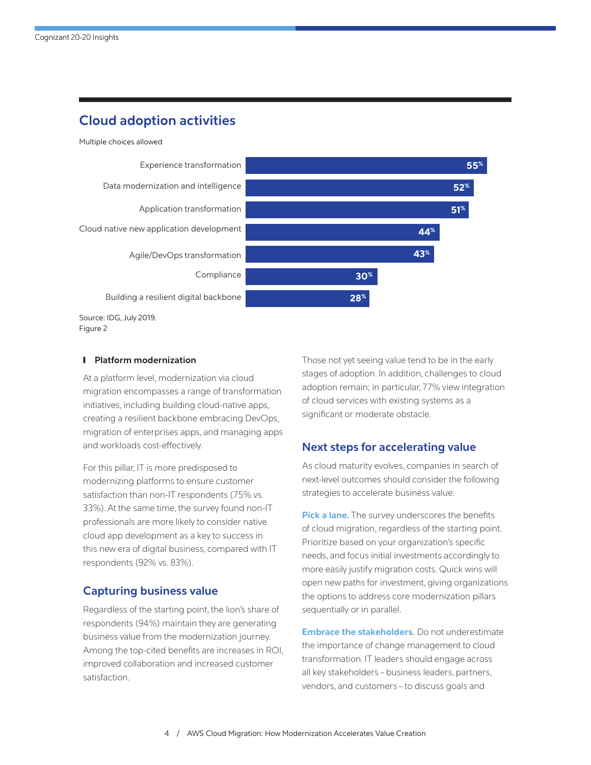# **Cloud adoption activities**



#### ❙ **Platform modernization**

At a platform level, modernization via cloud migration encompasses a range of transformation initiatives, including building cloud-native apps, creating a resilient backbone embracing DevOps, migration of enterprises apps, and managing apps and workloads cost-effectively.

For this pillar, IT is more predisposed to modernizing platforms to ensure customer satisfaction than non-IT respondents (75% vs. 33%). At the same time, the survey found non-IT professionals are more likely to consider native cloud app development as a key to success in this new era of digital business, compared with IT respondents (92% vs. 83%).

# **Capturing business value**

Regardless of the starting point, the lion's share of respondents (94%) maintain they are generating business value from the modernization journey. Among the top-cited benefits are increases in ROI, improved collaboration and increased customer satisfaction.

Those not yet seeing value tend to be in the early stages of adoption. In addition, challenges to cloud adoption remain; in particular, 77% view integration of cloud services with existing systems as a significant or moderate obstacle.

# **Next steps for accelerating value**

As cloud maturity evolves, companies in search of next-level outcomes should consider the following strategies to accelerate business value:

**Pick a lane.** The survey underscores the benefits of cloud migration, regardless of the starting point. Prioritize based on your organization's specific needs, and focus initial investments accordingly to more easily justify migration costs. Quick wins will open new paths for investment, giving organizations the options to address core modernization pillars sequentially or in parallel.

**Embrace the stakeholders.** Do not underestimate the importance of change management to cloud transformation. IT leaders should engage across all key stakeholders – business leaders, partners, vendors, and customers – to discuss goals and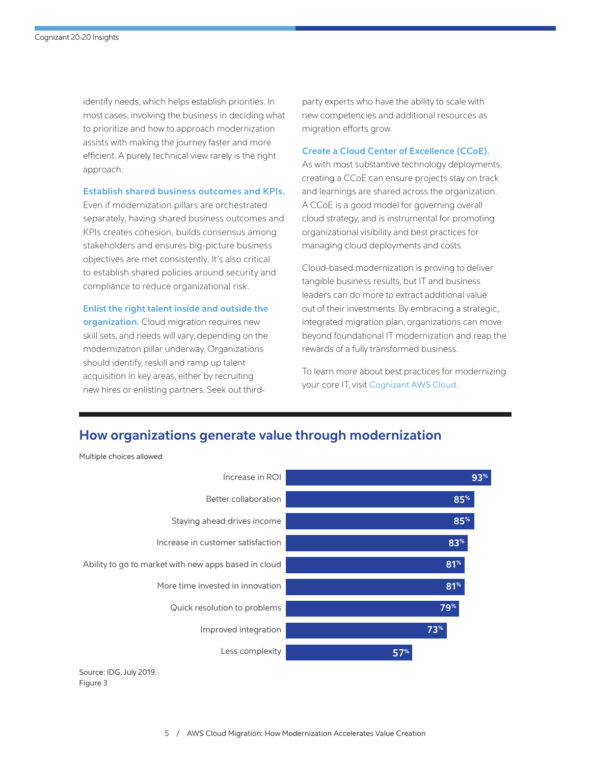identify needs, which helps establish priorities. In most cases, involving the business in deciding what to prioritize and how to approach modernization assists with making the journey faster and more efficient. A purely technical view rarely is the right approach.

## **Establish shared business outcomes and KPIs.**

Even if modernization pillars are orchestrated separately, having shared business outcomes and KPIs creates cohesion, builds consensus among stakeholders and ensures big-picture business objectives are met consistently. It's also critical to establish shared policies around security and compliance to reduce organizational risk.

#### **Enlist the right talent inside and outside the**

**organization.** Cloud migration requires new skill sets, and needs will vary, depending on the modernization pillar underway. Organizations should identify, reskill and ramp up talent acquisition in key areas, either by recruiting new hires or enlisting partners. Seek out thirdparty experts who have the ability to scale with new competencies and additional resources as migration efforts grow.

#### **Create a Cloud Center of Excellence (CCoE).**

As with most substantive technology deployments, creating a CCoE can ensure projects stay on track and learnings are shared across the organization. A CCoE is a good model for governing overall cloud strategy, and is instrumental for promoting organizational visibility and best practices for managing cloud deployments and costs.

Cloud-based modernization is proving to deliver tangible business results, but IT and business leaders can do more to extract additional value out of their investments. By embracing a strategic, integrated migration plan, organizations can move beyond foundational IT modernization and reap the rewards of a fully transformed business.

To learn more about best practices for modernizing your core IT, visit [Cognizant AWS Cloud](https://www.cognizant.com/aws-cloud).

# **How organizations generate value through modernization**



Source: IDG, July 2019. Figure 3